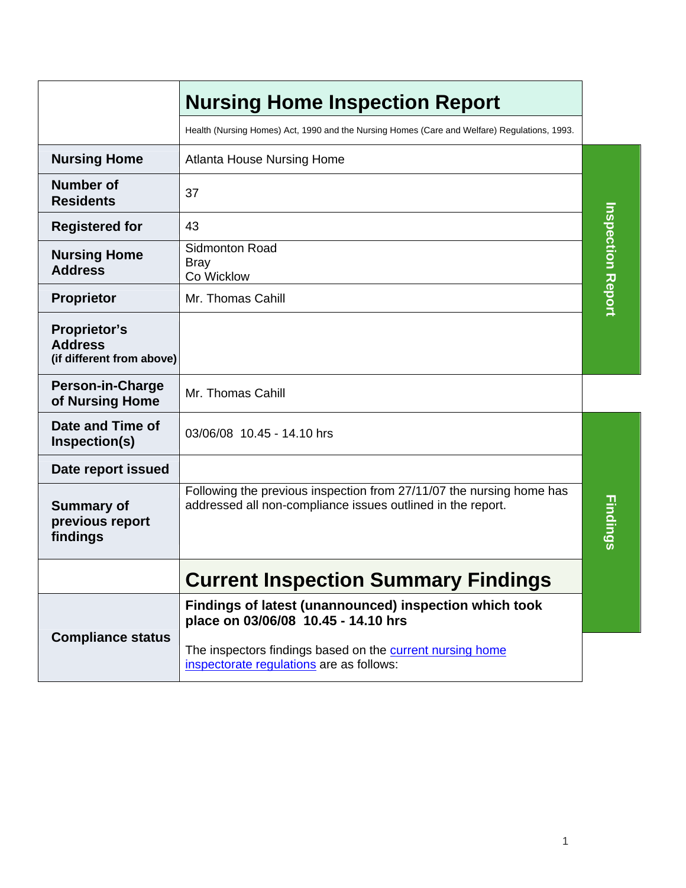|                                                                    | <b>Nursing Home Inspection Report</b>                                                                                               |                          |
|--------------------------------------------------------------------|-------------------------------------------------------------------------------------------------------------------------------------|--------------------------|
|                                                                    | Health (Nursing Homes) Act, 1990 and the Nursing Homes (Care and Welfare) Regulations, 1993.                                        |                          |
| <b>Nursing Home</b>                                                | <b>Atlanta House Nursing Home</b>                                                                                                   |                          |
| <b>Number of</b><br><b>Residents</b>                               | 37                                                                                                                                  |                          |
| <b>Registered for</b>                                              | 43                                                                                                                                  |                          |
| <b>Nursing Home</b><br><b>Address</b>                              | Sidmonton Road<br><b>Bray</b><br>Co Wicklow                                                                                         | <b>Inspection Report</b> |
| Proprietor                                                         | Mr. Thomas Cahill                                                                                                                   |                          |
| <b>Proprietor's</b><br><b>Address</b><br>(if different from above) |                                                                                                                                     |                          |
| <b>Person-in-Charge</b><br>of Nursing Home                         | Mr. Thomas Cahill                                                                                                                   |                          |
| Date and Time of<br>Inspection(s)                                  | 03/06/08 10.45 - 14.10 hrs                                                                                                          |                          |
| Date report issued                                                 |                                                                                                                                     |                          |
| <b>Summary of</b><br>previous report<br>findings                   | Following the previous inspection from 27/11/07 the nursing home has<br>addressed all non-compliance issues outlined in the report. | Findings                 |
|                                                                    | <b>Current Inspection Summary Findings</b>                                                                                          |                          |
|                                                                    | Findings of latest (unannounced) inspection which took<br>place on 03/06/08 10.45 - 14.10 hrs                                       |                          |
| <b>Compliance status</b>                                           | The inspectors findings based on the current nursing home<br>inspectorate regulations are as follows:                               |                          |